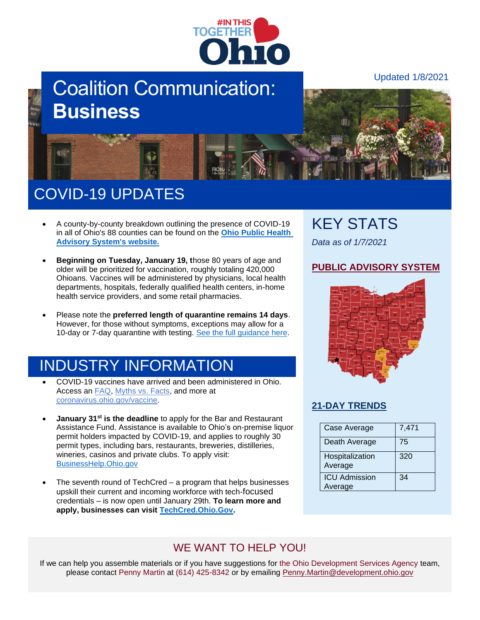

# Coalition Communication: **Business**

Updated 1/8/2021



# COVID-19 UPDATES

- A county-by-county breakdown outlining the presence of COVID-19 in all of Ohio's 88 counties can be found on the **[Ohio Public Health](https://lnks.gd/l/eyJhbGciOiJIUzI1NiJ9.eyJidWxsZXRpbl9saW5rX2lkIjoxMDIsInVyaSI6ImJwMjpjbGljayIsImJ1bGxldGluX2lkIjoiMjAyMDEyMTcuMzIxOTg5MzEiLCJ1cmwiOiJodHRwczovL2Nvcm9uYXZpcnVzLm9oaW8uZ292L3dwcy9wb3J0YWwvZ292L2NvdmlkLTE5L3B1YmxpYy1oZWFsdGgtYWR2aXNvcnktc3lzdGVtLyJ9.J-egyFxMMS-lsU9WehGMp6q6t9xr7CyQkPwrEDaDYA4/s/953904115/br/92063677446-l)  [Advisory System's website.](https://lnks.gd/l/eyJhbGciOiJIUzI1NiJ9.eyJidWxsZXRpbl9saW5rX2lkIjoxMDIsInVyaSI6ImJwMjpjbGljayIsImJ1bGxldGluX2lkIjoiMjAyMDEyMTcuMzIxOTg5MzEiLCJ1cmwiOiJodHRwczovL2Nvcm9uYXZpcnVzLm9oaW8uZ292L3dwcy9wb3J0YWwvZ292L2NvdmlkLTE5L3B1YmxpYy1oZWFsdGgtYWR2aXNvcnktc3lzdGVtLyJ9.J-egyFxMMS-lsU9WehGMp6q6t9xr7CyQkPwrEDaDYA4/s/953904115/br/92063677446-l)**
- **Beginning on Tuesday, January 19, t**hose 80 years of age and older will be prioritized for vaccination, roughly totaling 420,000 Ohioans. Vaccines will be administered by physicians, local health departments, hospitals, federally qualified health centers, in-home health service providers, and some retail pharmacies.
- Please note the **preferred length of quarantine remains 14 days**. However, for those without symptoms, exceptions may allow for a 10-day or 7-day quarantine with testing. [See the full guidance here.](https://coronavirus.ohio.gov/static/docs/covid-19-guidance-quarantine.pdf)

## INDUSTRY INFORMATION

- COVID-19 vaccines have arrived and been administered in Ohio. Access an **FAQ**, [Myths vs. Facts,](https://coronavirus.ohio.gov/wps/portal/gov/covid-19/covid-19-vaccination-program/19-vaccine-myths-vs-facts/19-vaccine-myths-vs-facts) and more at [coronavirus.ohio.gov/vaccine.](https://coronavirus.ohio.gov/wps/portal/gov/covid-19/covid-19-vaccination-program/welcome/covid-19-vaccination-program)
- **January 31st is the deadline** to apply for the Bar and Restaurant Assistance Fund. Assistance is available to Ohio's on-premise liquor permit holders impacted by COVID-19, and applies to roughly 30 permit types, including bars, restaurants, breweries, distilleries, wineries, casinos and private clubs. To apply visit: [BusinessHelp.Ohio.gov](https://businesshelp.ohio.gov/)
- The seventh round of TechCred a program that helps businesses upskill their current and incoming workforce with tech-focused credentials – is now open until January 29th. **To learn more and apply, businesses can visit [TechCred.Ohio.Gov.](https://lnks.gd/l/eyJhbGciOiJIUzI1NiJ9.eyJidWxsZXRpbl9saW5rX2lkIjoxMDMsInVyaSI6ImJwMjpjbGljayIsImJ1bGxldGluX2lkIjoiMjAyMTAxMDUuMzI4NDQ5OTEiLCJ1cmwiOiJodHRwczovL1RlY2hDcmVkLk9oaW8uR292In0.3g-43kTGVq-iUnBYctZ8OZamcmH5elfbg6r7hdmoKsE/s/1293154144/br/92684702399-l)**

### KEY STATS

*Data as of 1/7/2021*

#### **[PUBLIC ADVISORY SYSTEM](https://coronavirus.ohio.gov/wps/portal/gov/covid-19/public-health-advisory-system)**



#### **[21-DAY TRENDS](https://coronavirus.ohio.gov/wps/portal/gov/covid-19/dashboards/current-trends)**

| Case Average               | 7,471 |
|----------------------------|-------|
| Death Average              | 75    |
| Hospitalization<br>Average | 320   |
| <b>ICU Admission</b>       | 34    |
| Average                    |       |

### WE WANT TO HELP YOU!

If we can help you assemble materials or if you have suggestions for the Ohio Development Services Agency team, please contact Penny Martin at (614) 425-8342 or by emailing [Penny.Martin@development.ohio.gov](mailto:Penny.Martin@development.ohio.gov)